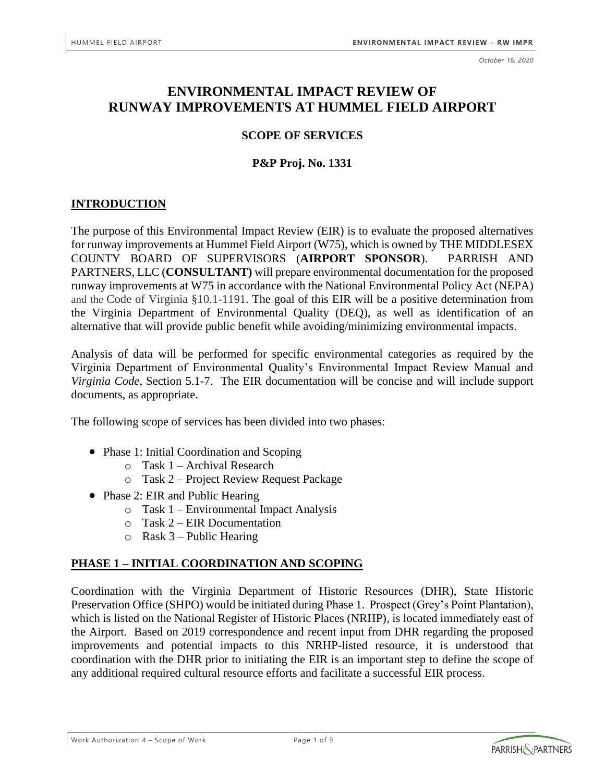*October 16, 2020*

# **ENVIRONMENTAL IMPACT REVIEW OF RUNWAY IMPROVEMENTS AT HUMMEL FIELD AIRPORT**

### **SCOPE OF SERVICES**

### **P&P Proj. No. 1331**

### **INTRODUCTION**

The purpose of this Environmental Impact Review (EIR) is to evaluate the proposed alternatives for runway improvements at Hummel Field Airport (W75), which is owned by THE MIDDLESEX COUNTY BOARD OF SUPERVISORS (**AIRPORT SPONSOR**). PARRISH AND PARTNERS, LLC (**CONSULTANT)** will prepare environmental documentation for the proposed runway improvements at W75 in accordance with the National Environmental Policy Act (NEPA) and the Code of Virginia §10.1-1191. The goal of this EIR will be a positive determination from the Virginia Department of Environmental Quality (DEQ), as well as identification of an alternative that will provide public benefit while avoiding/minimizing environmental impacts.

Analysis of data will be performed for specific environmental categories as required by the Virginia Department of Environmental Quality's Environmental Impact Review Manual and *Virginia Code*, Section 5.1-7. The EIR documentation will be concise and will include support documents, as appropriate.

The following scope of services has been divided into two phases:

- Phase 1: Initial Coordination and Scoping
	- o Task 1 Archival Research
	- o Task 2 Project Review Request Package
- Phase 2: EIR and Public Hearing
	- o Task 1 Environmental Impact Analysis
	- o Task 2 EIR Documentation
	- $\circ$  Rask 3 Public Hearing

## **PHASE 1 – INITIAL COORDINATION AND SCOPING**

Coordination with the Virginia Department of Historic Resources (DHR), State Historic Preservation Office (SHPO) would be initiated during Phase 1. Prospect (Grey's Point Plantation), which is listed on the National Register of Historic Places (NRHP), is located immediately east of the Airport. Based on 2019 correspondence and recent input from DHR regarding the proposed improvements and potential impacts to this NRHP-listed resource, it is understood that coordination with the DHR prior to initiating the EIR is an important step to define the scope of any additional required cultural resource efforts and facilitate a successful EIR process.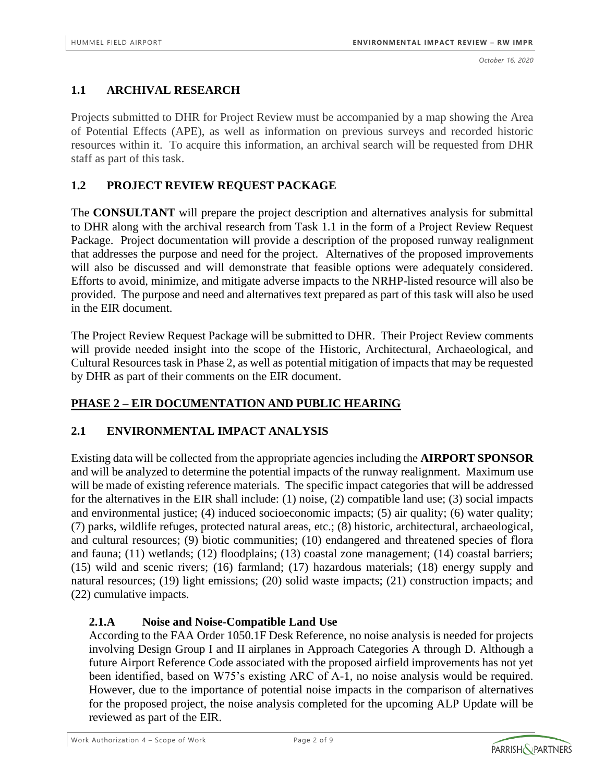## **1.1 ARCHIVAL RESEARCH**

Projects submitted to DHR for Project Review must be accompanied by a map showing the Area of Potential Effects (APE), as well as information on previous surveys and recorded historic resources within it. To acquire this information, an archival search will be requested from DHR staff as part of this task.

### **1.2 PROJECT REVIEW REQUEST PACKAGE**

The **CONSULTANT** will prepare the project description and alternatives analysis for submittal to DHR along with the archival research from Task 1.1 in the form of a Project Review Request Package. Project documentation will provide a description of the proposed runway realignment that addresses the purpose and need for the project. Alternatives of the proposed improvements will also be discussed and will demonstrate that feasible options were adequately considered. Efforts to avoid, minimize, and mitigate adverse impacts to the NRHP-listed resource will also be provided. The purpose and need and alternatives text prepared as part of this task will also be used in the EIR document.

The Project Review Request Package will be submitted to DHR. Their Project Review comments will provide needed insight into the scope of the Historic, Architectural, Archaeological, and Cultural Resources task in Phase 2, as well as potential mitigation of impacts that may be requested by DHR as part of their comments on the EIR document.

### **PHASE 2 – EIR DOCUMENTATION AND PUBLIC HEARING**

### **2.1 ENVIRONMENTAL IMPACT ANALYSIS**

Existing data will be collected from the appropriate agencies including the **AIRPORT SPONSOR** and will be analyzed to determine the potential impacts of the runway realignment. Maximum use will be made of existing reference materials. The specific impact categories that will be addressed for the alternatives in the EIR shall include: (1) noise, (2) compatible land use; (3) social impacts and environmental justice; (4) induced socioeconomic impacts; (5) air quality; (6) water quality; (7) parks, wildlife refuges, protected natural areas, etc.; (8) historic, architectural, archaeological, and cultural resources; (9) biotic communities; (10) endangered and threatened species of flora and fauna; (11) wetlands; (12) floodplains; (13) coastal zone management; (14) coastal barriers; (15) wild and scenic rivers; (16) farmland; (17) hazardous materials; (18) energy supply and natural resources; (19) light emissions; (20) solid waste impacts; (21) construction impacts; and (22) cumulative impacts.

### **2.1.A Noise and Noise-Compatible Land Use**

According to the FAA Order 1050.1F Desk Reference, no noise analysis is needed for projects involving Design Group I and II airplanes in Approach Categories A through D. Although a future Airport Reference Code associated with the proposed airfield improvements has not yet been identified, based on W75's existing ARC of A-1, no noise analysis would be required. However, due to the importance of potential noise impacts in the comparison of alternatives for the proposed project, the noise analysis completed for the upcoming ALP Update will be reviewed as part of the EIR.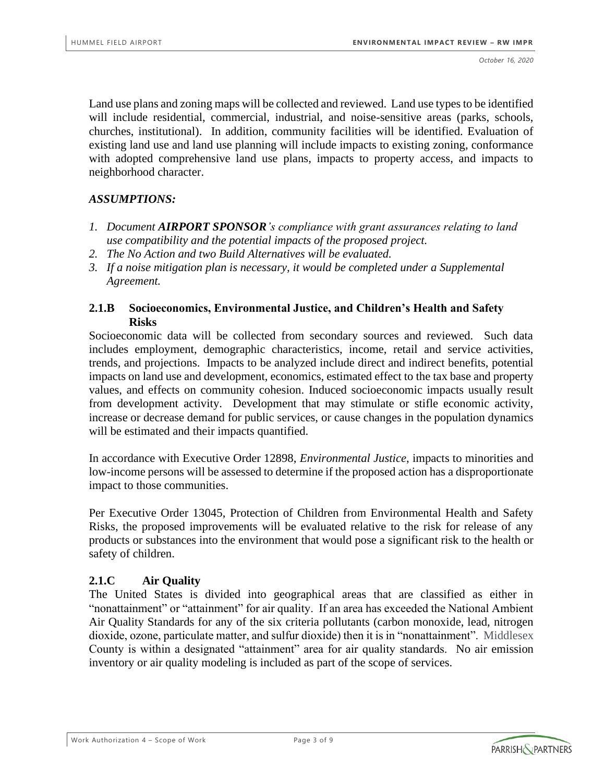Land use plans and zoning maps will be collected and reviewed. Land use types to be identified will include residential, commercial, industrial, and noise-sensitive areas (parks, schools, churches, institutional). In addition, community facilities will be identified. Evaluation of existing land use and land use planning will include impacts to existing zoning, conformance with adopted comprehensive land use plans, impacts to property access, and impacts to neighborhood character.

### *ASSUMPTIONS:*

- *1. Document AIRPORT SPONSOR's compliance with grant assurances relating to land use compatibility and the potential impacts of the proposed project.*
- *2. The No Action and two Build Alternatives will be evaluated.*
- *3. If a noise mitigation plan is necessary, it would be completed under a Supplemental Agreement.*

### **2.1.B Socioeconomics, Environmental Justice, and Children's Health and Safety Risks**

Socioeconomic data will be collected from secondary sources and reviewed. Such data includes employment, demographic characteristics, income, retail and service activities, trends, and projections. Impacts to be analyzed include direct and indirect benefits, potential impacts on land use and development, economics, estimated effect to the tax base and property values, and effects on community cohesion. Induced socioeconomic impacts usually result from development activity. Development that may stimulate or stifle economic activity, increase or decrease demand for public services, or cause changes in the population dynamics will be estimated and their impacts quantified.

In accordance with Executive Order 12898, *Environmental Justice*, impacts to minorities and low-income persons will be assessed to determine if the proposed action has a disproportionate impact to those communities.

Per Executive Order 13045, Protection of Children from Environmental Health and Safety Risks, the proposed improvements will be evaluated relative to the risk for release of any products or substances into the environment that would pose a significant risk to the health or safety of children.

### **2.1.C Air Quality**

The United States is divided into geographical areas that are classified as either in "nonattainment" or "attainment" for air quality. If an area has exceeded the National Ambient Air Quality Standards for any of the six criteria pollutants (carbon monoxide, lead, nitrogen dioxide, ozone, particulate matter, and sulfur dioxide) then it is in "nonattainment". Middlesex County is within a designated "attainment" area for air quality standards.No air emission inventory or air quality modeling is included as part of the scope of services.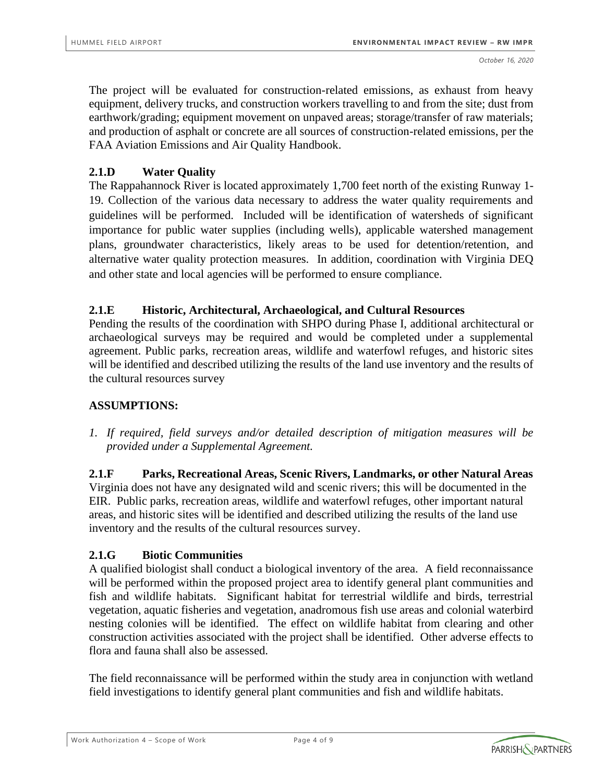The project will be evaluated for construction-related emissions, as exhaust from heavy equipment, delivery trucks, and construction workers travelling to and from the site; dust from earthwork/grading; equipment movement on unpaved areas; storage/transfer of raw materials; and production of asphalt or concrete are all sources of construction-related emissions, per the FAA Aviation Emissions and Air Quality Handbook.

### **2.1.D Water Quality**

The Rappahannock River is located approximately 1,700 feet north of the existing Runway 1- 19. Collection of the various data necessary to address the water quality requirements and guidelines will be performed. Included will be identification of watersheds of significant importance for public water supplies (including wells), applicable watershed management plans, groundwater characteristics, likely areas to be used for detention/retention, and alternative water quality protection measures. In addition, coordination with Virginia DEQ and other state and local agencies will be performed to ensure compliance.

### **2.1.E Historic, Architectural, Archaeological, and Cultural Resources**

Pending the results of the coordination with SHPO during Phase I, additional architectural or archaeological surveys may be required and would be completed under a supplemental agreement. Public parks, recreation areas, wildlife and waterfowl refuges, and historic sites will be identified and described utilizing the results of the land use inventory and the results of the cultural resources survey

### **ASSUMPTIONS:**

*1. If required, field surveys and/or detailed description of mitigation measures will be provided under a Supplemental Agreement.*

**2.1.F Parks, Recreational Areas, Scenic Rivers, Landmarks, or other Natural Areas** Virginia does not have any designated wild and scenic rivers; this will be documented in the EIR. Public parks, recreation areas, wildlife and waterfowl refuges, other important natural areas, and historic sites will be identified and described utilizing the results of the land use inventory and the results of the cultural resources survey.

## **2.1.G Biotic Communities**

A qualified biologist shall conduct a biological inventory of the area. A field reconnaissance will be performed within the proposed project area to identify general plant communities and fish and wildlife habitats. Significant habitat for terrestrial wildlife and birds, terrestrial vegetation, aquatic fisheries and vegetation, anadromous fish use areas and colonial waterbird nesting colonies will be identified. The effect on wildlife habitat from clearing and other construction activities associated with the project shall be identified. Other adverse effects to flora and fauna shall also be assessed.

The field reconnaissance will be performed within the study area in conjunction with wetland field investigations to identify general plant communities and fish and wildlife habitats.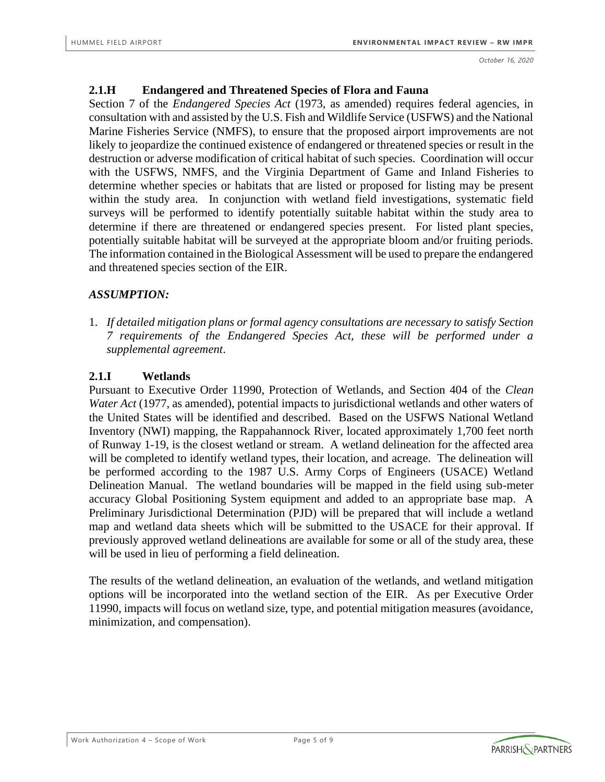#### **2.1.H Endangered and Threatened Species of Flora and Fauna**

Section 7 of the *Endangered Species Act* (1973, as amended) requires federal agencies, in consultation with and assisted by the U.S. Fish and Wildlife Service (USFWS) and the National Marine Fisheries Service (NMFS), to ensure that the proposed airport improvements are not likely to jeopardize the continued existence of endangered or threatened species or result in the destruction or adverse modification of critical habitat of such species. Coordination will occur with the USFWS, NMFS, and the Virginia Department of Game and Inland Fisheries to determine whether species or habitats that are listed or proposed for listing may be present within the study area. In conjunction with wetland field investigations, systematic field surveys will be performed to identify potentially suitable habitat within the study area to determine if there are threatened or endangered species present. For listed plant species, potentially suitable habitat will be surveyed at the appropriate bloom and/or fruiting periods. The information contained in the Biological Assessment will be used to prepare the endangered and threatened species section of the EIR.

### *ASSUMPTION:*

1. *If detailed mitigation plans or formal agency consultations are necessary to satisfy Section 7 requirements of the Endangered Species Act, these will be performed under a supplemental agreement*.

### **2.1.I Wetlands**

Pursuant to Executive Order 11990, Protection of Wetlands, and Section 404 of the *Clean Water Act* (1977, as amended), potential impacts to jurisdictional wetlands and other waters of the United States will be identified and described. Based on the USFWS National Wetland Inventory (NWI) mapping, the Rappahannock River, located approximately 1,700 feet north of Runway 1-19, is the closest wetland or stream. A wetland delineation for the affected area will be completed to identify wetland types, their location, and acreage. The delineation will be performed according to the 1987 U.S. Army Corps of Engineers (USACE) Wetland Delineation Manual. The wetland boundaries will be mapped in the field using sub-meter accuracy Global Positioning System equipment and added to an appropriate base map. A Preliminary Jurisdictional Determination (PJD) will be prepared that will include a wetland map and wetland data sheets which will be submitted to the USACE for their approval. If previously approved wetland delineations are available for some or all of the study area, these will be used in lieu of performing a field delineation.

The results of the wetland delineation, an evaluation of the wetlands, and wetland mitigation options will be incorporated into the wetland section of the EIR. As per Executive Order 11990, impacts will focus on wetland size, type, and potential mitigation measures (avoidance, minimization, and compensation).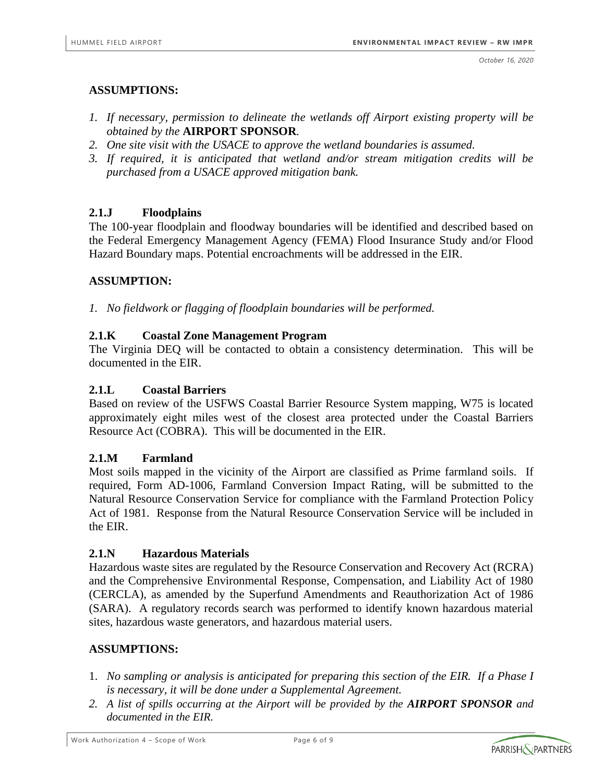*October 16, 2020*

### **ASSUMPTIONS:**

- *1. If necessary, permission to delineate the wetlands off Airport existing property will be obtained by the* **AIRPORT SPONSOR***.*
- *2. One site visit with the USACE to approve the wetland boundaries is assumed.*
- *3. If required, it is anticipated that wetland and/or stream mitigation credits will be purchased from a USACE approved mitigation bank.*

### **2.1.J Floodplains**

The 100-year floodplain and floodway boundaries will be identified and described based on the Federal Emergency Management Agency (FEMA) Flood Insurance Study and/or Flood Hazard Boundary maps. Potential encroachments will be addressed in the EIR.

### **ASSUMPTION:**

*1. No fieldwork or flagging of floodplain boundaries will be performed.*

### **2.1.K Coastal Zone Management Program**

The Virginia DEQ will be contacted to obtain a consistency determination. This will be documented in the EIR.

### **2.1.L Coastal Barriers**

Based on review of the USFWS Coastal Barrier Resource System mapping, W75 is located approximately eight miles west of the closest area protected under the Coastal Barriers Resource Act (COBRA). This will be documented in the EIR.

### **2.1.M Farmland**

Most soils mapped in the vicinity of the Airport are classified as Prime farmland soils. If required, Form AD-1006, Farmland Conversion Impact Rating, will be submitted to the Natural Resource Conservation Service for compliance with the Farmland Protection Policy Act of 1981. Response from the Natural Resource Conservation Service will be included in the EIR.

### **2.1.N Hazardous Materials**

Hazardous waste sites are regulated by the Resource Conservation and Recovery Act (RCRA) and the Comprehensive Environmental Response, Compensation, and Liability Act of 1980 (CERCLA), as amended by the Superfund Amendments and Reauthorization Act of 1986 (SARA). A regulatory records search was performed to identify known hazardous material sites, hazardous waste generators, and hazardous material users.

### **ASSUMPTIONS:**

- 1. *No sampling or analysis is anticipated for preparing this section of the EIR. If a Phase I is necessary, it will be done under a Supplemental Agreement.*
- *2. A list of spills occurring at the Airport will be provided by the AIRPORT SPONSOR and documented in the EIR.*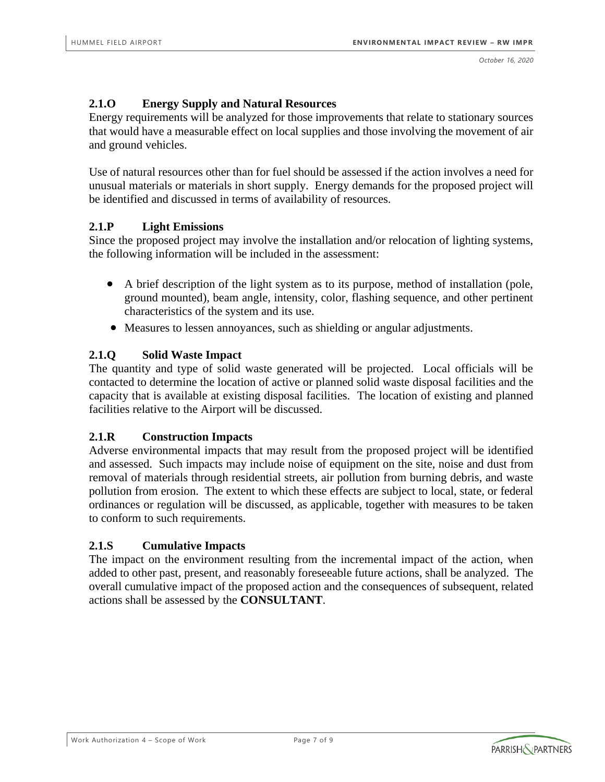### **2.1.O Energy Supply and Natural Resources**

Energy requirements will be analyzed for those improvements that relate to stationary sources that would have a measurable effect on local supplies and those involving the movement of air and ground vehicles.

Use of natural resources other than for fuel should be assessed if the action involves a need for unusual materials or materials in short supply. Energy demands for the proposed project will be identified and discussed in terms of availability of resources.

### **2.1.P Light Emissions**

Since the proposed project may involve the installation and/or relocation of lighting systems, the following information will be included in the assessment:

- A brief description of the light system as to its purpose, method of installation (pole, ground mounted), beam angle, intensity, color, flashing sequence, and other pertinent characteristics of the system and its use.
- Measures to lessen annoyances, such as shielding or angular adjustments.

### **2.1.Q Solid Waste Impact**

The quantity and type of solid waste generated will be projected. Local officials will be contacted to determine the location of active or planned solid waste disposal facilities and the capacity that is available at existing disposal facilities. The location of existing and planned facilities relative to the Airport will be discussed.

### **2.1.R Construction Impacts**

Adverse environmental impacts that may result from the proposed project will be identified and assessed. Such impacts may include noise of equipment on the site, noise and dust from removal of materials through residential streets, air pollution from burning debris, and waste pollution from erosion. The extent to which these effects are subject to local, state, or federal ordinances or regulation will be discussed, as applicable, together with measures to be taken to conform to such requirements.

### **2.1.S Cumulative Impacts**

The impact on the environment resulting from the incremental impact of the action, when added to other past, present, and reasonably foreseeable future actions, shall be analyzed. The overall cumulative impact of the proposed action and the consequences of subsequent, related actions shall be assessed by the **CONSULTANT**.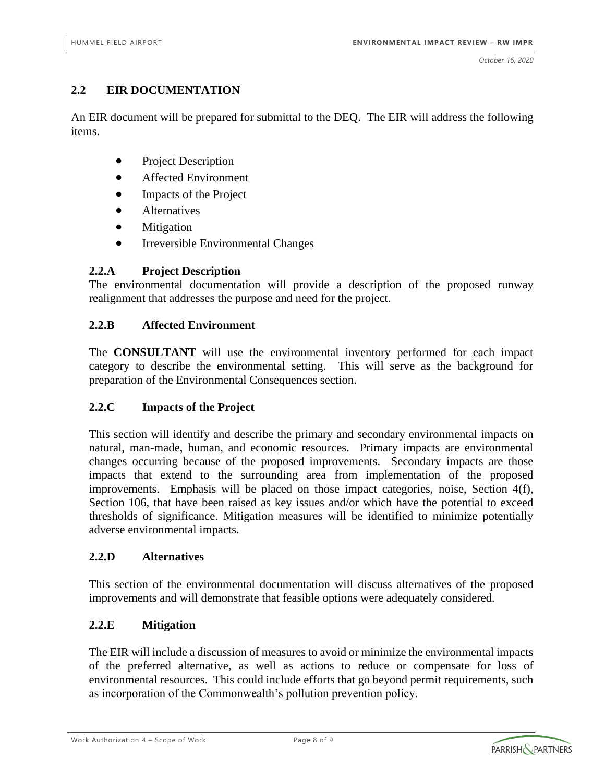### **2.2 EIR DOCUMENTATION**

An EIR document will be prepared for submittal to the DEQ. The EIR will address the following items.

- Project Description
- Affected Environment
- Impacts of the Project
- Alternatives
- Mitigation
- Irreversible Environmental Changes

### **2.2.A Project Description**

The environmental documentation will provide a description of the proposed runway realignment that addresses the purpose and need for the project.

#### **2.2.B Affected Environment**

The **CONSULTANT** will use the environmental inventory performed for each impact category to describe the environmental setting. This will serve as the background for preparation of the Environmental Consequences section.

### **2.2.C Impacts of the Project**

This section will identify and describe the primary and secondary environmental impacts on natural, man-made, human, and economic resources. Primary impacts are environmental changes occurring because of the proposed improvements. Secondary impacts are those impacts that extend to the surrounding area from implementation of the proposed improvements. Emphasis will be placed on those impact categories, noise, Section 4(f), Section 106, that have been raised as key issues and/or which have the potential to exceed thresholds of significance. Mitigation measures will be identified to minimize potentially adverse environmental impacts.

#### **2.2.D Alternatives**

This section of the environmental documentation will discuss alternatives of the proposed improvements and will demonstrate that feasible options were adequately considered.

### **2.2.E Mitigation**

The EIR will include a discussion of measures to avoid or minimize the environmental impacts of the preferred alternative, as well as actions to reduce or compensate for loss of environmental resources. This could include efforts that go beyond permit requirements, such as incorporation of the Commonwealth's pollution prevention policy.